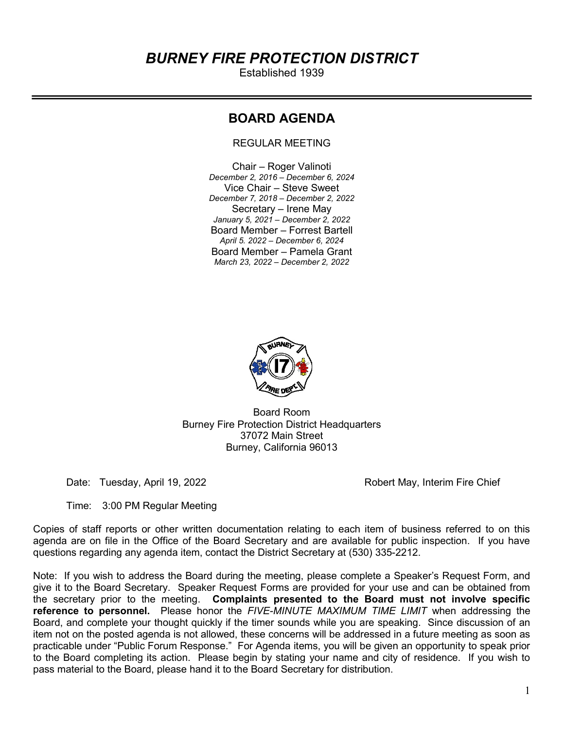# BURNEY FIRE PROTECTION DISTRICT

Established 1939

## BOARD AGENDA

REGULAR MEETING

Chair – Roger Valinoti December 2, 2016 – December 6, 2024 Vice Chair – Steve Sweet December 7, 2018 – December 2, 2022 Secretary – Irene May January 5, 2021 – December 2, 2022 Board Member – Forrest Bartell April 5. 2022 – December 6, 2024 Board Member – Pamela Grant March 23, 2022 – December 2, 2022



Board Room Burney Fire Protection District Headquarters 37072 Main Street Burney, California 96013

Date: Tuesday, April 19, 2022 **Robert May, Interim Fire Chief** Chief

Time: 3:00 PM Regular Meeting

Copies of staff reports or other written documentation relating to each item of business referred to on this agenda are on file in the Office of the Board Secretary and are available for public inspection. If you have questions regarding any agenda item, contact the District Secretary at (530) 335-2212.

Note: If you wish to address the Board during the meeting, please complete a Speaker's Request Form, and give it to the Board Secretary. Speaker Request Forms are provided for your use and can be obtained from the secretary prior to the meeting. Complaints presented to the Board must not involve specific reference to personnel. Please honor the FIVE-MINUTE MAXIMUM TIME LIMIT when addressing the Board, and complete your thought quickly if the timer sounds while you are speaking. Since discussion of an item not on the posted agenda is not allowed, these concerns will be addressed in a future meeting as soon as practicable under "Public Forum Response." For Agenda items, you will be given an opportunity to speak prior to the Board completing its action. Please begin by stating your name and city of residence. If you wish to pass material to the Board, please hand it to the Board Secretary for distribution.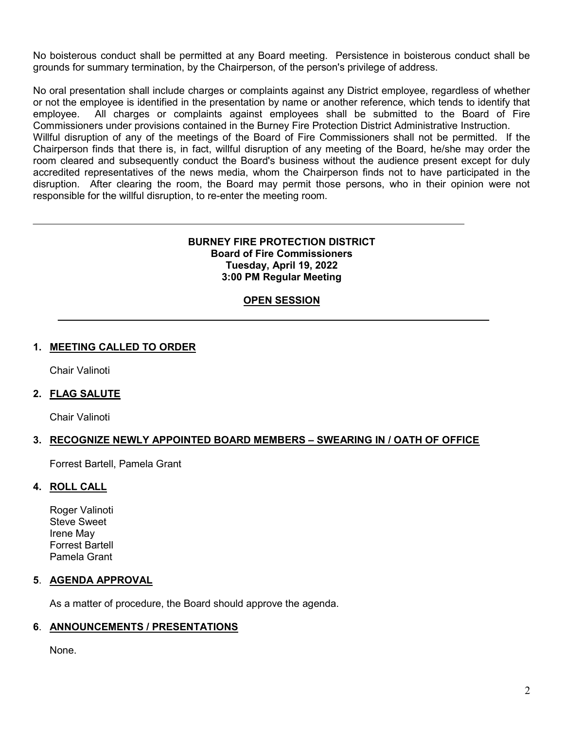No boisterous conduct shall be permitted at any Board meeting. Persistence in boisterous conduct shall be grounds for summary termination, by the Chairperson, of the person's privilege of address.

No oral presentation shall include charges or complaints against any District employee, regardless of whether or not the employee is identified in the presentation by name or another reference, which tends to identify that employee. All charges or complaints against employees shall be submitted to the Board of Fire Commissioners under provisions contained in the Burney Fire Protection District Administrative Instruction. Willful disruption of any of the meetings of the Board of Fire Commissioners shall not be permitted. If the Chairperson finds that there is, in fact, willful disruption of any meeting of the Board, he/she may order the room cleared and subsequently conduct the Board's business without the audience present except for duly accredited representatives of the news media, whom the Chairperson finds not to have participated in the

disruption. After clearing the room, the Board may permit those persons, who in their opinion were not

## BURNEY FIRE PROTECTION DISTRICT Board of Fire Commissioners Tuesday, April 19, 2022 3:00 PM Regular Meeting

## OPEN SESSION

### 1. MEETING CALLED TO ORDER

Chair Valinoti

### 2. FLAG SALUTE

Chair Valinoti

#### 3. RECOGNIZE NEWLY APPOINTED BOARD MEMBERS – SWEARING IN / OATH OF OFFICE

Forrest Bartell, Pamela Grant

#### 4. ROLL CALL

Roger Valinoti Steve Sweet Irene May Forrest Bartell Pamela Grant

#### 5. AGENDA APPROVAL

As a matter of procedure, the Board should approve the agenda.

responsible for the willful disruption, to re-enter the meeting room.

#### 6. ANNOUNCEMENTS / PRESENTATIONS

None.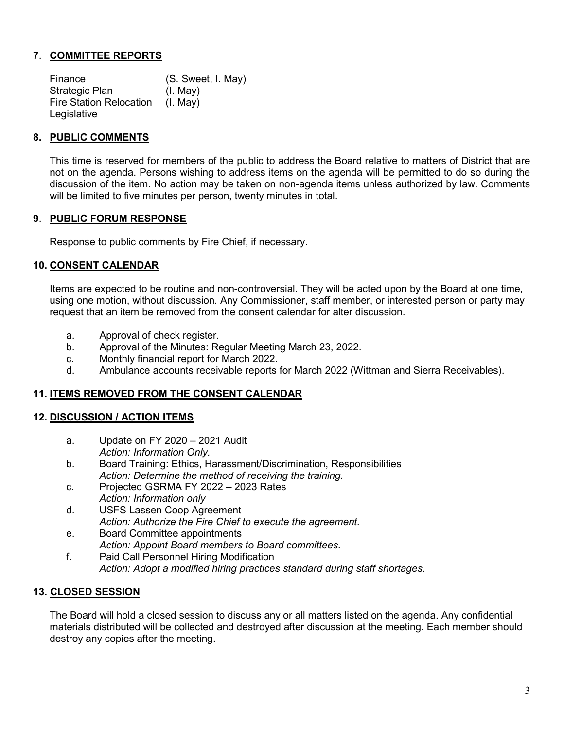## 7. COMMITTEE REPORTS

 Finance (S. Sweet, I. May) Strategic Plan (I. May) Fire Station Relocation (I. May) Legislative

## 8. PUBLIC COMMENTS

This time is reserved for members of the public to address the Board relative to matters of District that are not on the agenda. Persons wishing to address items on the agenda will be permitted to do so during the discussion of the item. No action may be taken on non-agenda items unless authorized by law. Comments will be limited to five minutes per person, twenty minutes in total.

## 9. PUBLIC FORUM RESPONSE

Response to public comments by Fire Chief, if necessary.

### 10. CONSENT CALENDAR

 Items are expected to be routine and non-controversial. They will be acted upon by the Board at one time, using one motion, without discussion. Any Commissioner, staff member, or interested person or party may request that an item be removed from the consent calendar for alter discussion.

- a. Approval of check register.
- b. Approval of the Minutes: Regular Meeting March 23, 2022.
- c. Monthly financial report for March 2022.
- d. Ambulance accounts receivable reports for March 2022 (Wittman and Sierra Receivables).

### 11. ITEMS REMOVED FROM THE CONSENT CALENDAR

### 12. DISCUSSION / ACTION ITEMS

- a. Update on FY 2020 2021 Audit Action: Information Only.
- b. Board Training: Ethics, Harassment/Discrimination, Responsibilities Action: Determine the method of receiving the training.
- c. Projected GSRMA FY 2022 2023 Rates Action: Information only
- d. USFS Lassen Coop Agreement Action: Authorize the Fire Chief to execute the agreement.
- e. Board Committee appointments Action: Appoint Board members to Board committees.
- f. Paid Call Personnel Hiring Modification Action: Adopt a modified hiring practices standard during staff shortages.

## 13. CLOSED SESSION

The Board will hold a closed session to discuss any or all matters listed on the agenda. Any confidential materials distributed will be collected and destroyed after discussion at the meeting. Each member should destroy any copies after the meeting.